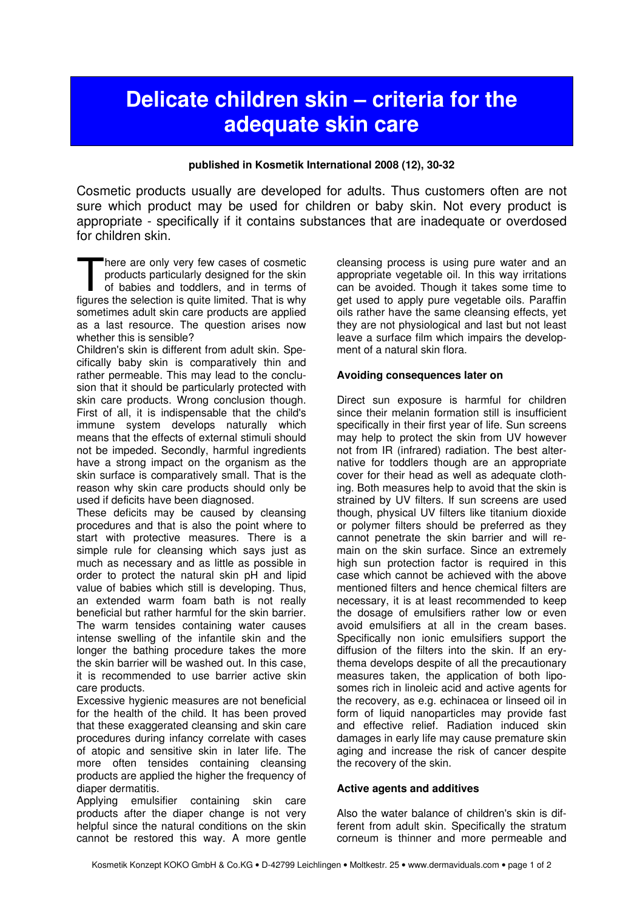# Delicate children skin – criteria for the adequate skin care

#### published in Kosmetik International 2008 (12), 30-32

Cosmetic products usually are developed for adults. Thus customers often are not sure which product may be used for children or baby skin. Not every product is appropriate - specifically if it contains substances that are inadequate or overdosed for children skin.

here are only very few cases of cosmetic products particularly designed for the skin of babies and toddlers, and in terms of There are only very few cases of cosmetic products particularly designed for the skin of babies and toddlers, and in terms of figures the selection is quite limited. That is why sometimes adult skin care products are applied as a last resource. The question arises now whether this is sensible?

Children's skin is different from adult skin. Specifically baby skin is comparatively thin and rather permeable. This may lead to the conclusion that it should be particularly protected with skin care products. Wrong conclusion though. First of all, it is indispensable that the child's immune system develops naturally which means that the effects of external stimuli should not be impeded. Secondly, harmful ingredients have a strong impact on the organism as the skin surface is comparatively small. That is the reason why skin care products should only be used if deficits have been diagnosed.

These deficits may be caused by cleansing procedures and that is also the point where to start with protective measures. There is a simple rule for cleansing which says just as much as necessary and as little as possible in order to protect the natural skin pH and lipid value of babies which still is developing. Thus, an extended warm foam bath is not really beneficial but rather harmful for the skin barrier. The warm tensides containing water causes intense swelling of the infantile skin and the longer the bathing procedure takes the more the skin barrier will be washed out. In this case, it is recommended to use barrier active skin care products.

Excessive hygienic measures are not beneficial for the health of the child. It has been proved that these exaggerated cleansing and skin care procedures during infancy correlate with cases of atopic and sensitive skin in later life. The more often tensides containing cleansing products are applied the higher the frequency of diaper dermatitis.

Applying emulsifier containing skin care products after the diaper change is not very helpful since the natural conditions on the skin cannot be restored this way. A more gentle cleansing process is using pure water and an appropriate vegetable oil. In this way irritations can be avoided. Though it takes some time to get used to apply pure vegetable oils. Paraffin oils rather have the same cleansing effects, yet they are not physiological and last but not least leave a surface film which impairs the development of a natural skin flora.

#### Avoiding consequences later on

Direct sun exposure is harmful for children since their melanin formation still is insufficient specifically in their first year of life. Sun screens may help to protect the skin from UV however not from IR (infrared) radiation. The best alternative for toddlers though are an appropriate cover for their head as well as adequate clothing. Both measures help to avoid that the skin is strained by UV filters. If sun screens are used though, physical UV filters like titanium dioxide or polymer filters should be preferred as they cannot penetrate the skin barrier and will remain on the skin surface. Since an extremely high sun protection factor is required in this case which cannot be achieved with the above mentioned filters and hence chemical filters are necessary, it is at least recommended to keep the dosage of emulsifiers rather low or even avoid emulsifiers at all in the cream bases. Specifically non ionic emulsifiers support the diffusion of the filters into the skin. If an erythema develops despite of all the precautionary measures taken, the application of both liposomes rich in linoleic acid and active agents for the recovery, as e.g. echinacea or linseed oil in form of liquid nanoparticles may provide fast and effective relief. Radiation induced skin damages in early life may cause premature skin aging and increase the risk of cancer despite the recovery of the skin.

## Active agents and additives

Also the water balance of children's skin is different from adult skin. Specifically the stratum corneum is thinner and more permeable and